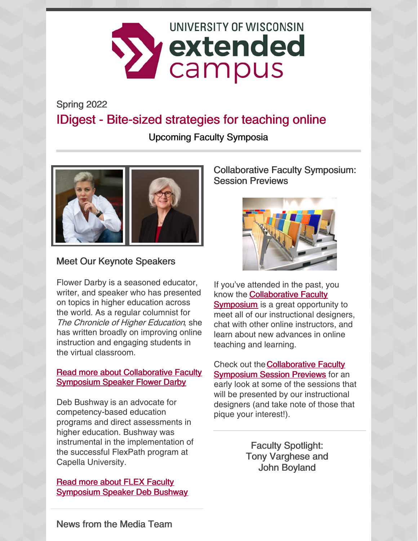

Spring 2022

# IDigest - Bite-sized strategies for teaching online

Upcoming Faculty Symposia



### Meet Our Keynote Speakers

Flower Darby is a seasoned educator, writer, and speaker who has presented on topics in higher education across the world. As a regular columnist for The Chronicle of Higher Education, she has written broadly on improving online instruction and engaging students in the virtual classroom.

#### Read more about [Collaborative](https://ce.uwex.edu/meet-flower-darby/) Faculty Symposium Speaker Flower Darby

Deb Bushway is an advocate for competency-based education programs and direct assessments in higher education. Bushway was instrumental in the implementation of the successful FlexPath program at Capella University.

Read more about FLEX Faculty [Symposium](https://ce.uwex.edu/deb-bushway-2022-flex-faculty-symposium-keynote-speaker/) Speaker Deb Bushway Collaborative Faculty Symposium: Session Previews



If you've attended in the past, you know the [Collaborative](https://ce.uwex.edu/faculty-symposium/) Faculty Symposium is a great opportunity to meet all of our instructional designers, chat with other online instructors, and learn about new advances in online teaching and learning.

Check out [theCollaborative](https://ce.uwex.edu/symposium-session-previews/) Faculty **Symposium Session Previews** for an early look at some of the sessions that will be presented by our instructional designers (and take note of those that pique your interest!).

> Faculty Spotlight: Tony Varghese and John Boyland